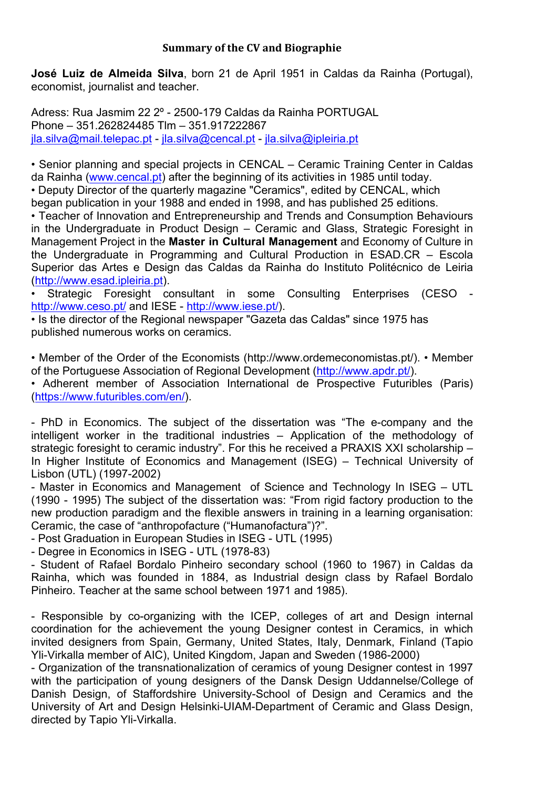## **Summary of the CV and Biographie**

**José Luiz de Almeida Silva**, born 21 de April 1951 in Caldas da Rainha (Portugal), economist, journalist and teacher.

Adress: Rua Jasmim 22 2º - 2500-179 Caldas da Rainha PORTUGAL Phone – 351.262824485 Tlm – 351.917222867 jla.silva@mail.telepac.pt - jla.silva@cencal.pt - jla.silva@ipleiria.pt

• Senior planning and special projects in CENCAL – Ceramic Training Center in Caldas da Rainha (www.cencal.pt) after the beginning of its activities in 1985 until today. • Deputy Director of the quarterly magazine "Ceramics", edited by CENCAL, which

began publication in your 1988 and ended in 1998, and has published 25 editions.

• Teacher of Innovation and Entrepreneurship and Trends and Consumption Behaviours in the Undergraduate in Product Design – Ceramic and Glass, Strategic Foresight in Management Project in the **Master in Cultural Management** and Economy of Culture in the Undergraduate in Programming and Cultural Production in ESAD.CR – Escola Superior das Artes e Design das Caldas da Rainha do Instituto Politécnico de Leiria (http://www.esad.ipleiria.pt).

• Strategic Foresight consultant in some Consulting Enterprises (CESO http://www.ceso.pt/ and IESE - http://www.iese.pt/).

• Is the director of the Regional newspaper "Gazeta das Caldas" since 1975 has published numerous works on ceramics.

• Member of the Order of the Economists (http://www.ordemeconomistas.pt/). • Member of the Portuguese Association of Regional Development (http://www.apdr.pt/).

• Adherent member of Association International de Prospective Futuribles (Paris) (https://www.futuribles.com/en/).

- PhD in Economics. The subject of the dissertation was "The e-company and the intelligent worker in the traditional industries – Application of the methodology of strategic foresight to ceramic industry". For this he received a PRAXIS XXI scholarship – In Higher Institute of Economics and Management (ISEG) – Technical University of Lisbon (UTL) (1997-2002)

- Master in Economics and Management of Science and Technology In ISEG – UTL (1990 - 1995) The subject of the dissertation was: "From rigid factory production to the new production paradigm and the flexible answers in training in a learning organisation: Ceramic, the case of "anthropofacture ("Humanofactura")?".

- Post Graduation in European Studies in ISEG - UTL (1995)

- Degree in Economics in ISEG - UTL (1978-83)

- Student of Rafael Bordalo Pinheiro secondary school (1960 to 1967) in Caldas da Rainha, which was founded in 1884, as Industrial design class by Rafael Bordalo Pinheiro. Teacher at the same school between 1971 and 1985).

- Responsible by co-organizing with the ICEP, colleges of art and Design internal coordination for the achievement the young Designer contest in Ceramics, in which invited designers from Spain, Germany, United States, Italy, Denmark, Finland (Tapio Yli-Virkalla member of AIC), United Kingdom, Japan and Sweden (1986-2000)

- Organization of the transnationalization of ceramics of young Designer contest in 1997 with the participation of young designers of the Dansk Design Uddannelse/College of Danish Design, of Staffordshire University-School of Design and Ceramics and the University of Art and Design Helsinki-UIAM-Department of Ceramic and Glass Design, directed by Tapio Yli-Virkalla.